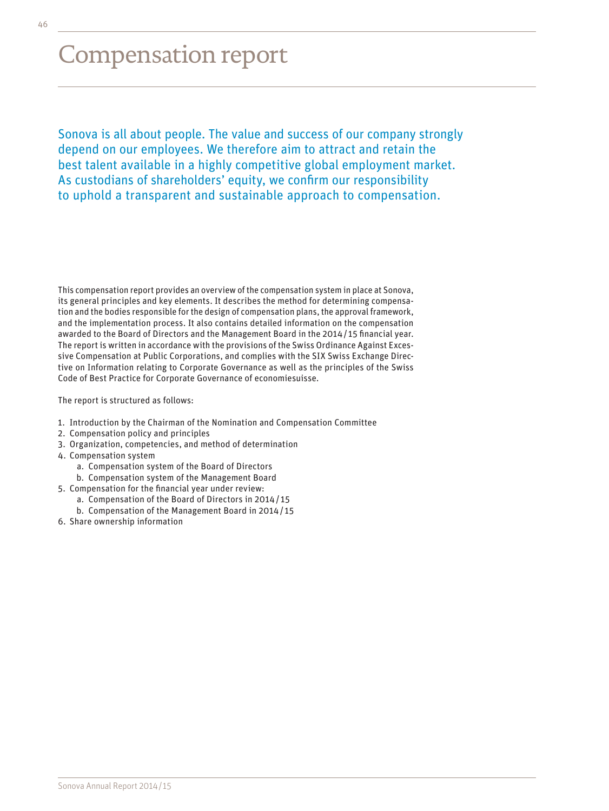# Compensation report

Sonova is all about people. The value and success of our company strongly depend on our employees. We therefore aim to attract and retain the best talent available in a highly competitive global employment market. As custodians of shareholders' equity, we confirm our responsibility to uphold a transparent and sustainable approach to compensation.

This compensation report provides an overview of the compensation system in place at Sonova, its general principles and key elements. It describes the method for determining compensation and the bodies responsible for the design of compensation plans, the approval framework, and the implementation process. It also contains detailed information on the compensation awarded to the Board of Directors and the Management Board in the 2014/ 15 financial year. The report is written in accordance with the provisions of the Swiss Ordinance Against Excessive Compensation at Public Corporations, and complies with the SIX Swiss Exchange Directive on Information relating to Corporate Governance as well as the principles of the Swiss Code of Best Practice for Corporate Governance of economiesuisse.

The report is structured as follows:

- 1. Introduction by the Chairman of the Nomination and Compensation Committee
- 2. Compensation policy and principles
- 3. Organization, competencies, and method of determination
- 4. Compensation system
	- a. Compensation system of the Board of Directors
	- b. Compensation system of the Management Board
- 5. Compensation for the financial year under review:
	- a. Compensation of the Board of Directors in 2014/ 15
	- b. Compensation of the Management Board in 2014/ 15
- 6. Share ownership information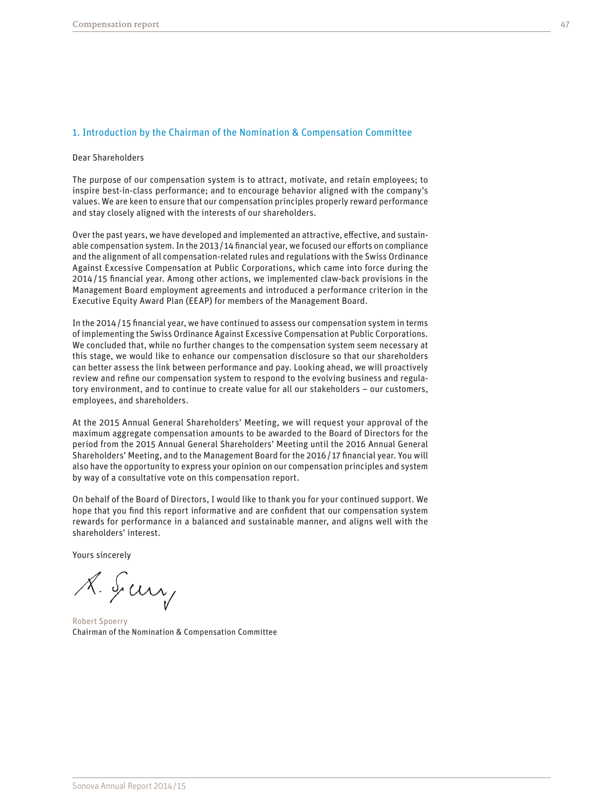# 1. Introduction by the Chairman of the Nomination & Compensation Committee

#### Dear Shareholders

The purpose of our compensation system is to attract, motivate, and retain employees; to inspire best-in-class performance; and to encourage behavior aligned with the company's values. We are keen to ensure that our compensation principles properly reward performance and stay closely aligned with the interests of our shareholders.

Over the past years, we have developed and implemented an attractive, effective, and sustainable compensation system. In the 2013/14 financial year, we focused our efforts on compliance and the alignment of all compensation-related rules and regulations with the Swiss Ordinance Against Excessive Compensation at Public Corporations, which came into force during the 2014/ 15 financial year. Among other actions, we implemented claw-back provisions in the Management Board employment agreements and introduced a performance criterion in the Executive Equity Award Plan (EEAP) for members of the Management Board.

In the 2014/ 15 financial year, we have continued to assess our compensation system in terms of implementing the Swiss Ordinance Against Excessive Compensation at Public Corporations. We concluded that, while no further changes to the compensation system seem necessary at this stage, we would like to enhance our compensation disclosure so that our shareholders can better assess the link between performance and pay. Looking ahead, we will proactively review and refine our compensation system to respond to the evolving business and regulatory environment, and to continue to create value for all our stakeholders – our customers, employees, and shareholders.

At the 2015 Annual General Shareholders' Meeting, we will request your approval of the maximum aggregate compensation amounts to be awarded to the Board of Directors for the period from the 2015 Annual General Shareholders' Meeting until the 2016 Annual General Shareholders' Meeting, and to the Management Board for the 2016/ 17 financial year. You will also have the opportunity to express your opinion on our compensation principles and system by way of a consultative vote on this compensation report.

On behalf of the Board of Directors, I would like to thank you for your continued support. We hope that you find this report informative and are confident that our compensation system rewards for performance in a balanced and sustainable manner, and aligns well with the shareholders' interest.

Yours sincerely

A. Sury

Robert Spoerry Chairman of the Nomination & Compensation Committee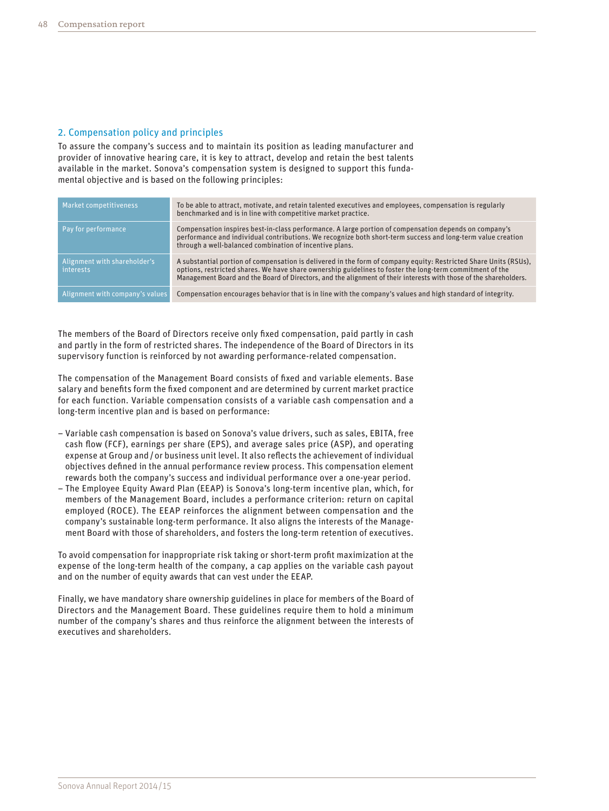# 2. Compensation policy and principles

To assure the company's success and to maintain its position as leading manufacturer and provider of innovative hearing care, it is key to attract, develop and retain the best talents available in the market. Sonova's compensation system is designed to support this fundamental objective and is based on the following principles:

| Market competitiveness                    | To be able to attract, motivate, and retain talented executives and employees, compensation is regularly<br>benchmarked and is in line with competitive market practice.                                                                                                                                                                          |
|-------------------------------------------|---------------------------------------------------------------------------------------------------------------------------------------------------------------------------------------------------------------------------------------------------------------------------------------------------------------------------------------------------|
| Pay for performance                       | Compensation inspires best-in-class performance. A large portion of compensation depends on company's<br>performance and individual contributions. We recognize both short-term success and long-term value creation<br>through a well-balanced combination of incentive plans.                                                                   |
| Alignment with shareholder's<br>interests | A substantial portion of compensation is delivered in the form of company equity: Restricted Share Units (RSUs),<br>options, restricted shares. We have share ownership guidelines to foster the long-term commitment of the<br>Management Board and the Board of Directors, and the alignment of their interests with those of the shareholders. |
| Alignment with company's values           | Compensation encourages behavior that is in line with the company's values and high standard of integrity.                                                                                                                                                                                                                                        |

The members of the Board of Directors receive only fixed compensation, paid partly in cash and partly in the form of restricted shares. The independence of the Board of Directors in its supervisory function is reinforced by not awarding performance-related compensation.

The compensation of the Management Board consists of fixed and variable elements. Base salary and benefits form the fixed component and are determined by current market practice for each function. Variable compensation consists of a variable cash compensation and a long-term incentive plan and is based on performance:

- Variable cash compensation is based on Sonova's value drivers, such as sales, EBITA, free cash flow (FCF), earnings per share (EPS), and average sales price (ASP), and operating expense at Group and/or business unit level. It also reflects the achievement of individual objectives defined in the annual performance review process. This compensation element rewards both the company's success and individual performance over a one-year period.
- The Employee Equity Award Plan (EEAP) is Sonova's long-term incentive plan, which, for members of the Management Board, includes a performance criterion: return on capital employed (ROCE). The EEAP reinforces the alignment between compensation and the company's sustainable long-term performance. It also aligns the interests of the Management Board with those of shareholders, and fosters the long-term retention of executives.

To avoid compensation for inappropriate risk taking or short-term profit maximization at the expense of the long-term health of the company, a cap applies on the variable cash payout and on the number of equity awards that can vest under the EEAP.

Finally, we have mandatory share ownership guidelines in place for members of the Board of Directors and the Management Board. These guidelines require them to hold a minimum number of the company's shares and thus reinforce the alignment between the interests of executives and shareholders.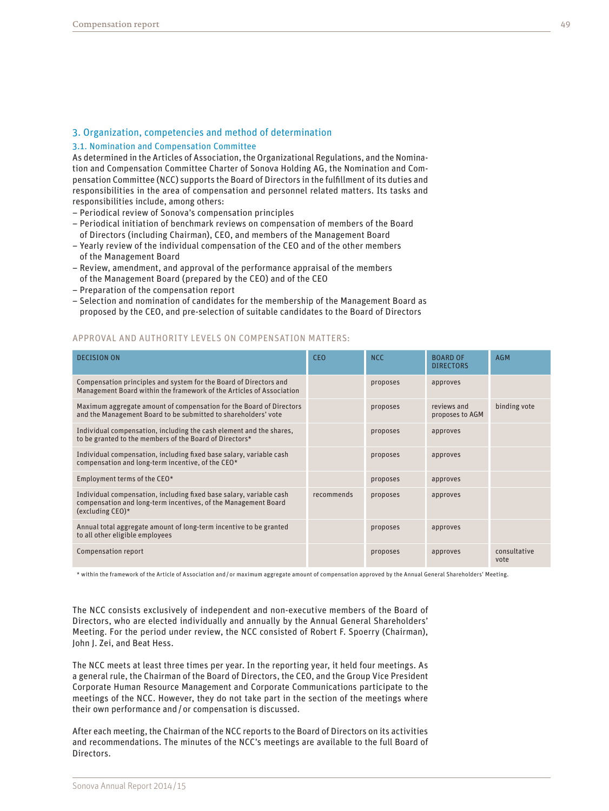# 3. Organization, competencies and method of determination

#### 3.1. Nomination and Compensation Committee

As determined in the Articles of Association, the Organizational Regulations, and the Nomination and Compensation Committee Charter of Sonova Holding AG, the Nomination and Compensation Committee (NCC) supports the Board of Directors in the fulfillment of its duties and responsibilities in the area of compensation and personnel related matters. Its tasks and responsibilities include, among others:

- Periodical review of Sonova's compensation principles
- Periodical initiation of benchmark reviews on compensation of members of the Board of Directors (including Chairman), CEO, and members of the Management Board
- Yearly review of the individual compensation of the CEO and of the other members of the Management Board
- Review, amendment, and approval of the performance appraisal of the members of the Management Board (prepared by the CEO) and of the CEO
- Preparation of the compensation report
- Selection and nomination of candidates for the membership of the Management Board as proposed by the CEO, and pre-selection of suitable candidates to the Board of Directors

# APPROVAL AND AUTHORITY LEVELS ON COMPENSATION MATTERS:

| <b>DECISION ON</b>                                                                                                                                           | <b>CEO</b> | <b>NCC</b> | <b>BOARD OF</b><br><b>DIRECTORS</b> | <b>AGM</b>           |
|--------------------------------------------------------------------------------------------------------------------------------------------------------------|------------|------------|-------------------------------------|----------------------|
| Compensation principles and system for the Board of Directors and<br>Management Board within the framework of the Articles of Association                    |            | proposes   | approves                            |                      |
| Maximum aggregate amount of compensation for the Board of Directors<br>and the Management Board to be submitted to shareholders' vote                        |            | proposes   | reviews and<br>proposes to AGM      | binding vote         |
| Individual compensation, including the cash element and the shares,<br>to be granted to the members of the Board of Directors*                               |            | proposes   | approves                            |                      |
| Individual compensation, including fixed base salary, variable cash<br>compensation and long-term incentive, of the CEO*                                     |            | proposes   | approves                            |                      |
| Employment terms of the CEO*                                                                                                                                 |            | proposes   | approves                            |                      |
| Individual compensation, including fixed base salary, variable cash<br>compensation and long-term incentives, of the Management Board<br>(excluding $CEO$ )* | recommends | proposes   | approves                            |                      |
| Annual total aggregate amount of long-term incentive to be granted<br>to all other eligible employees                                                        |            | proposes   | approves                            |                      |
| Compensation report                                                                                                                                          |            | proposes   | approves                            | consultative<br>vote |

\* within the framework of the Article of Association and/or maximum aggregate amount of compensation approved by the Annual General Shareholders' Meeting.

The NCC consists exclusively of independent and non-executive members of the Board of Directors, who are elected individually and annually by the Annual General Shareholders' Meeting. For the period under review, the NCC consisted of Robert F. Spoerry (Chairman), John J. Zei, and Beat Hess.

The NCC meets at least three times per year. In the reporting year, it held four meetings. As a general rule, the Chairman of the Board of Directors, the CEO, and the Group Vice President Corporate Human Resource Management and Corporate Communications participate to the meetings of the NCC. However, they do not take part in the section of the meetings where their own performance and/or compensation is discussed.

After each meeting, the Chairman of the NCC reports to the Board of Directors on its activities and recommendations. The minutes of the NCC's meetings are available to the full Board of Directors.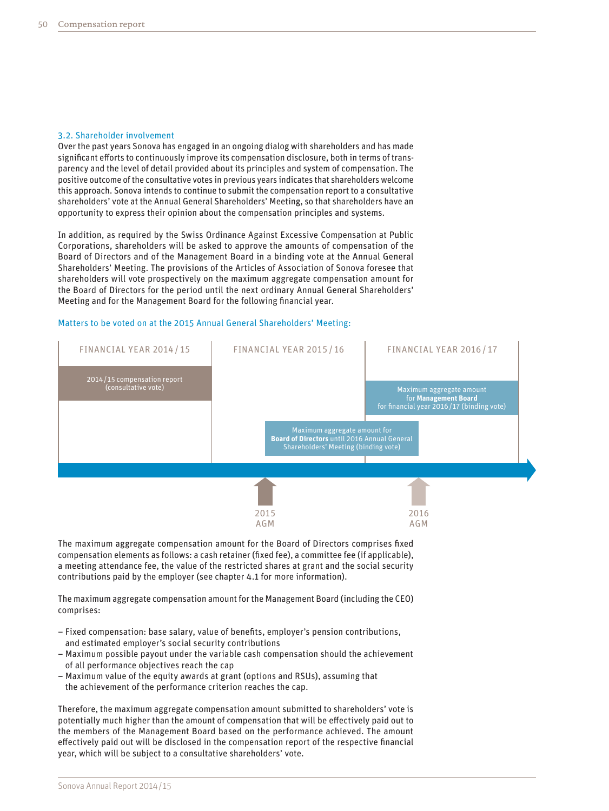#### 3.2. Shareholder involvement

Over the past years Sonova has engaged in an ongoing dialog with shareholders and has made significant efforts to continuously improve its compensation disclosure, both in terms of transparency and the level of detail provided about its principles and system of compensation. The positive outcome of the consultative votes in previous years indicates that shareholders welcome this approach. Sonova intends to continue to submit the compensation report to a consultative shareholders' vote at the Annual General Shareholders' Meeting, so that shareholders have an opportunity to express their opinion about the compensation principles and systems.

In addition, as required by the Swiss Ordinance Against Excessive Compensation at Public Corporations, shareholders will be asked to approve the amounts of compensation of the Board of Directors and of the Management Board in a binding vote at the Annual General Shareholders' Meeting. The provisions of the Articles of Association of Sonova foresee that shareholders will vote prospectively on the maximum aggregate compensation amount for the Board of Directors for the period until the next ordinary Annual General Shareholders' Meeting and for the Management Board for the following financial year.

### Matters to be voted on at the 2015 Annual General Shareholders' Meeting:



The maximum aggregate compensation amount for the Board of Directors comprises fixed compensation elements as follows: a cash retainer (fixed fee), a committee fee (if applicable), a meeting attendance fee, the value of the restricted shares at grant and the social security contributions paid by the employer (see chapter 4.1 for more information).

The maximum aggregate compensation amount for the Management Board (including the CEO) comprises:

- Fixed compensation: base salary, value of benefits, employer's pension contributions, and estimated employer's social security contributions
- Maximum possible payout under the variable cash compensation should the achievement of all performance objectives reach the cap
- Maximum value of the equity awards at grant (options and RSUs), assuming that the achievement of the performance criterion reaches the cap.

Therefore, the maximum aggregate compensation amount submitted to shareholders' vote is potentially much higher than the amount of compensation that will be effectively paid out to the members of the Management Board based on the performance achieved. The amount effectively paid out will be disclosed in the compensation report of the respective financial year, which will be subject to a consultative shareholders' vote.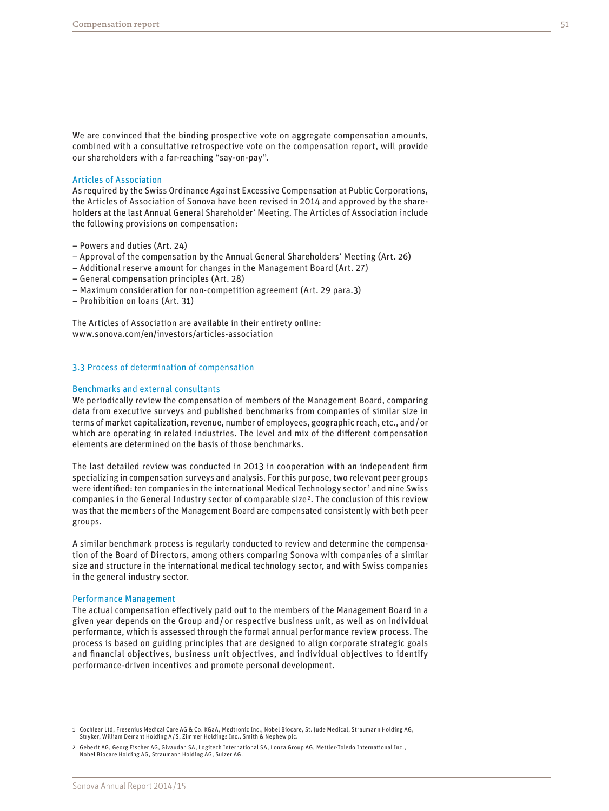We are convinced that the binding prospective vote on aggregate compensation amounts, combined with a consultative retrospective vote on the compensation report, will provide our shareholders with a far-reaching "say-on-pay".

#### Articles of Association

As required by the Swiss Ordinance Against Excessive Compensation at Public Corporations, the Articles of Association of Sonova have been revised in 2014 and approved by the shareholders at the last Annual General Shareholder' Meeting. The Articles of Association include the following provisions on compensation:

- Powers and duties (Art. 24)
- Approval of the compensation by the Annual General Shareholders' Meeting (Art. 26)
- Additional reserve amount for changes in the Management Board (Art. 27)
- General compensation principles (Art. 28)
- Maximum consideration for non-competition agreement (Art. 29 para.3)
- Prohibition on loans (Art. 31)

The Articles of Association are available in their entirety online: [www.sonova.com/en/investors/articles-association](http://www.sonova.com/en/investors/articles-association)

#### 3.3 Process of determination of compensation

#### Benchmarks and external consultants

We periodically review the compensation of members of the Management Board, comparing data from executive surveys and published benchmarks from companies of similar size in terms of market capitalization, revenue, number of employees, geographic reach, etc., and/or which are operating in related industries. The level and mix of the different compensation elements are determined on the basis of those benchmarks.

The last detailed review was conducted in 2013 in cooperation with an independent firm specializing in compensation surveys and analysis. For this purpose, two relevant peer groups were identified: ten companies in the international Medical Technology sector<sup>1</sup> and nine Swiss companies in the General Industry sector of comparable size<sup>2</sup>. The conclusion of this review was that the members of the Management Board are compensated consistently with both peer groups.

A similar benchmark process is regularly conducted to review and determine the compensation of the Board of Directors, among others comparing Sonova with companies of a similar size and structure in the international medical technology sector, and with Swiss companies in the general industry sector.

#### Performance Management

The actual compensation effectively paid out to the members of the Management Board in a given year depends on the Group and/or respective business unit, as well as on individual performance, which is assessed through the formal annual performance review process. The process is based on guiding principles that are designed to align corporate strategic goals and financial objectives, business unit objectives, and individual objectives to identify performance-driven incentives and promote personal development.

<sup>1</sup> Cochlear Ltd, Fresenius Medical Care AG & Co. KGaA, Medtronic Inc., Nobel Biocare, St. Jude Medical, Straumann Holding AG, Stryker, William Demant Holding A/S, Zimmer Holdings Inc., Smith & Nephew plc.

<sup>2</sup> Geberit AG, Georg Fischer AG, Givaudan SA, Logitech International SA, Lonza Group AG, Mettler-Toledo International Inc., Nobel Biocare Holding AG, Straumann Holding AG, Sulzer AG.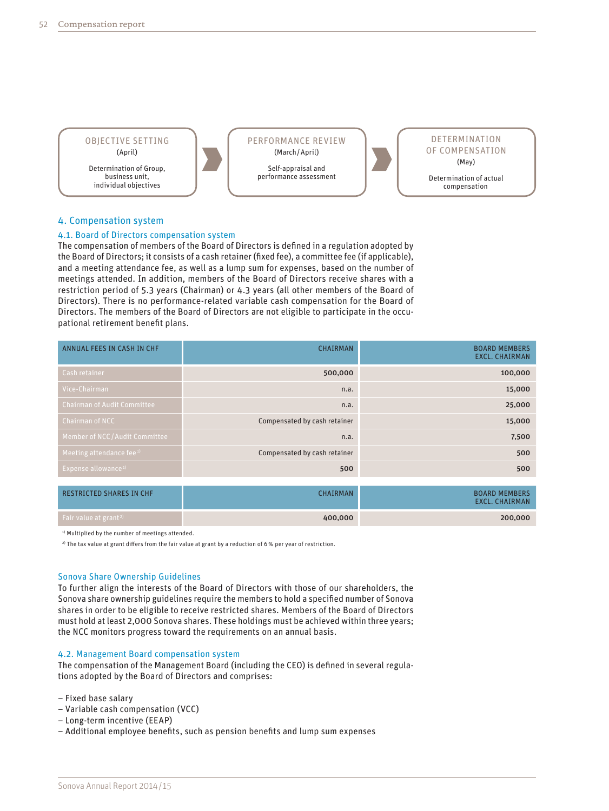

# 4. Compensation system

### 4.1. Board of Directors compensation system

The compensation of members of the Board of Directors is defined in a regulation adopted by the Board of Directors; it consists of a cash retainer (fixed fee), a committee fee (if applicable), and a meeting attendance fee, as well as a lump sum for expenses, based on the number of meetings attended. In addition, members of the Board of Directors receive shares with a restriction period of 5.3 years (Chairman) or 4.3 years (all other members of the Board of Directors). There is no performance-related variable cash compensation for the Board of Directors. The members of the Board of Directors are not eligible to participate in the occupational retirement benefit plans.

| ANNUAL FEES IN CASH IN CHF         | <b>CHAIRMAN</b>              | <b>BOARD MEMBERS</b><br><b>EXCL. CHAIRMAN</b> |
|------------------------------------|------------------------------|-----------------------------------------------|
| Cash retainer                      | 500,000                      | 100,000                                       |
| Vice-Chairman                      | n.a.                         | 15,000                                        |
| <b>Chairman of Audit Committee</b> | n.a.                         | 25,000                                        |
| <b>Chairman of NCC</b>             | Compensated by cash retainer | 15,000                                        |
| Member of NCC/Audit Committee      | n.a.                         | 7,500                                         |
| Meeting attendance fee $^{1}$      | Compensated by cash retainer | 500                                           |
| Expense allowance <sup>1)</sup>    | 500                          | 500                                           |

| <b>RESTRICTED SHARES IN CHF</b>   | CHAIRMAN | <b>BOARD MEMBERS</b><br><b>EXCL. CHAIRMAN</b> |
|-----------------------------------|----------|-----------------------------------------------|
| Fair value at grant <sup>2)</sup> | 400,000  | 200,000                                       |

<sup>1)</sup> Multiplied by the number of meetings attended.

2) The tax value at grant differs from the fair value at grant by a reduction of 6% per year of restriction.

#### Sonova Share Ownership Guidelines

To further align the interests of the Board of Directors with those of our shareholders, the Sonova share ownership guidelines require the members to hold a specified number of Sonova shares in order to be eligible to receive restricted shares. Members of the Board of Directors must hold at least 2,000 Sonova shares. These holdings must be achieved within three years; the NCC monitors progress toward the requirements on an annual basis.

### 4.2. Management Board compensation system

The compensation of the Management Board (including the CEO) is defined in several regulations adopted by the Board of Directors and comprises:

– Fixed base salary

- Variable cash compensation (VCC)
- Long-term incentive (EEAP)

– Additional employee benefits, such as pension benefits and lump sum expenses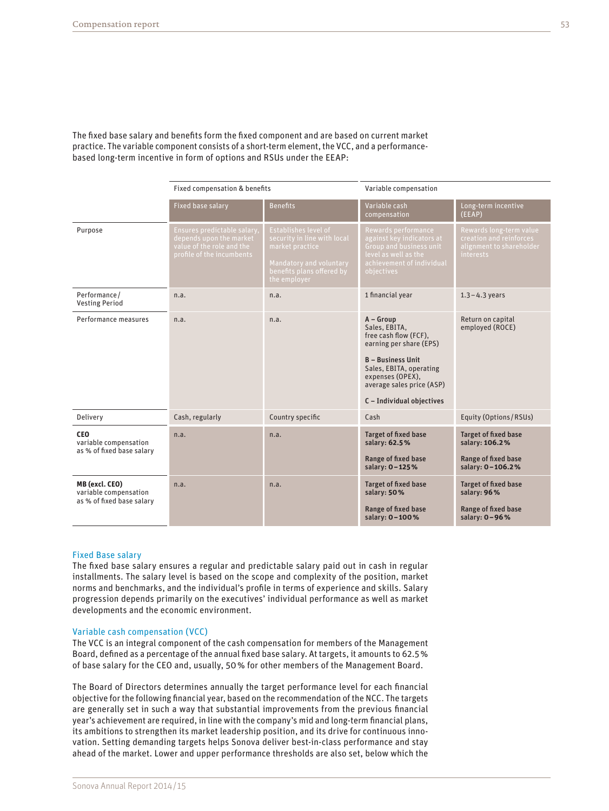The fixed base salary and benefits form the fixed component and are based on current market practice. The variable component consists of a short-term element, the VCC, and a performancebased long-term incentive in form of options and RSUs under the EEAP:

|                                                                      | Fixed compensation & benefits                                                                                    |                                                                                                                                                       | Variable compensation                                                                                                                                                                                                 |                                                                                                    |
|----------------------------------------------------------------------|------------------------------------------------------------------------------------------------------------------|-------------------------------------------------------------------------------------------------------------------------------------------------------|-----------------------------------------------------------------------------------------------------------------------------------------------------------------------------------------------------------------------|----------------------------------------------------------------------------------------------------|
|                                                                      | <b>Fixed base salary</b>                                                                                         | <b>Benefits</b>                                                                                                                                       | Variable cash<br>compensation                                                                                                                                                                                         | Long-term incentive<br>(EEAP)                                                                      |
| Purpose                                                              | Ensures predictable salary,<br>depends upon the market<br>value of the role and the<br>profile of the incumbents | <b>Establishes level of</b><br>security in line with local<br>market practice<br>Mandatory and voluntary<br>benefits plans offered by<br>the employer | Rewards performance<br>against key indicators at<br>Group and business unit<br>level as well as the<br>achievement of individual<br>objectives                                                                        | Rewards long-term value<br>creation and reinforces<br>alignment to shareholder<br><i>interests</i> |
| Performance/<br><b>Vesting Period</b>                                | n.a.                                                                                                             | n.a.                                                                                                                                                  | 1 financial year                                                                                                                                                                                                      | $1.3 - 4.3$ years                                                                                  |
| Performance measures                                                 | n.a.                                                                                                             | n.a.                                                                                                                                                  | $A - Group$<br>Sales, EBITA,<br>free cash flow (FCF),<br>earning per share (EPS)<br><b>B</b> - Business Unit<br>Sales, EBITA, operating<br>expenses (OPEX),<br>average sales price (ASP)<br>C - Individual objectives | Return on capital<br>employed (ROCE)                                                               |
| Delivery                                                             | Cash, regularly                                                                                                  | Country specific                                                                                                                                      | Cash                                                                                                                                                                                                                  | Equity (Options/RSUs)                                                                              |
| <b>CEO</b><br>variable compensation<br>as % of fixed base salary     | n.a.                                                                                                             | n.a.                                                                                                                                                  | <b>Target of fixed base</b><br>salary: 62.5%<br><b>Range of fixed base</b><br>salary: 0-125%                                                                                                                          | <b>Target of fixed base</b><br>salary: 106.2%<br>Range of fixed base<br>salary: 0-106.2%           |
| MB (excl. CEO)<br>variable compensation<br>as % of fixed base salary | n.a.                                                                                                             | n.a.                                                                                                                                                  | <b>Target of fixed base</b><br>salary: 50%<br>Range of fixed base<br>salary: 0-100%                                                                                                                                   | <b>Target of fixed base</b><br>salary: 96%<br>Range of fixed base<br>salary: 0-96%                 |

#### Fixed Base salary

The fixed base salary ensures a regular and predictable salary paid out in cash in regular installments. The salary level is based on the scope and complexity of the position, market norms and benchmarks, and the individual's profile in terms of experience and skills. Salary progression depends primarily on the executives' individual performance as well as market developments and the economic environment.

#### Variable cash compensation (VCC)

The VCC is an integral component of the cash compensation for members of the Management Board, defined as a percentage of the annual fixed base salary. At targets, it amounts to 62.5% of base salary for the CEO and, usually, 50% for other members of the Management Board.

The Board of Directors determines annually the target performance level for each financial objective for the following financial year, based on the recommendation of the NCC. The targets are generally set in such a way that substantial improvements from the previous financial year's achievement are required, in line with the company's mid and long-term financial plans, its ambitions to strengthen its market leadership position, and its drive for continuous innovation. Setting demanding targets helps Sonova deliver best-in-class performance and stay ahead of the market. Lower and upper performance thresholds are also set, below which the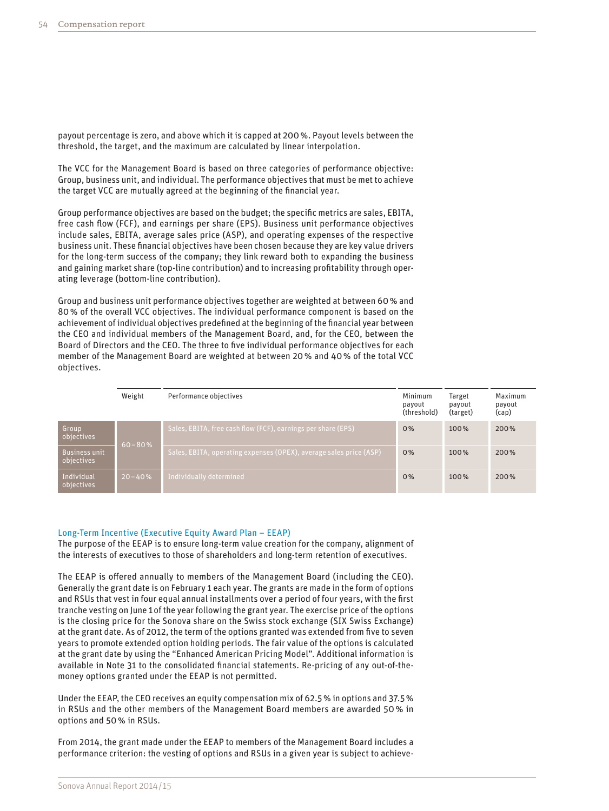payout percentage is zero, and above which it is capped at 200%. Payout levels between the threshold, the target, and the maximum are calculated by linear interpolation.

The VCC for the Management Board is based on three categories of performance objective: Group, business unit, and individual. The performance objectives that must be met to achieve the target VCC are mutually agreed at the beginning of the financial year.

Group performance objectives are based on the budget; the specific metrics are sales, EBITA, free cash flow (FCF), and earnings per share (EPS). Business unit performance objectives include sales, EBITA, average sales price (ASP), and operating expenses of the respective business unit. These financial objectives have been chosen because they are key value drivers for the long-term success of the company; they link reward both to expanding the business and gaining market share (top-line contribution) and to increasing profitability through operating leverage (bottom-line contribution).

Group and business unit performance objectives together are weighted at between 60% and 80% of the overall VCC objectives. The individual performance component is based on the achievement of individual objectives predefined at the beginning of the financial year between the CEO and individual members of the Management Board, and, for the CEO, between the Board of Directors and the CEO. The three to five individual performance objectives for each member of the Management Board are weighted at between 20% and 40% of the total VCC objectives.

|                                    | Weight     | Performance objectives                                             | Minimum<br>payout<br>(threshold) | Target<br>payout<br>(target) | Maximum<br>payout<br>(cap) |
|------------------------------------|------------|--------------------------------------------------------------------|----------------------------------|------------------------------|----------------------------|
| Group<br>objectives                | $60 - 80%$ | Sales, EBITA, free cash flow (FCF), earnings per share (EPS)       | 0%                               | 100%                         | 200%                       |
| <b>Business unit</b><br>objectives |            | Sales, EBITA, operating expenses (OPEX), average sales price (ASP) | 0%                               | 100%                         | 200%                       |
| Individual<br>objectives           | $20 - 40%$ | Individually determined                                            | 0%                               | 100%                         | 200%                       |

#### Long-Term Incentive (Executive Equity Award Plan – EEAP)

The purpose of the EEAP is to ensure long-term value creation for the company, alignment of the interests of executives to those of shareholders and long-term retention of executives.

The EEAP is offered annually to members of the Management Board (including the CEO). Generally the grant date is on February 1 each year. The grants are made in the form of options and RSUs that vest in four equal annual installments over a period of four years, with the first tranche vesting on June 1of the year following the grant year. The exercise price of the options is the closing price for the Sonova share on the Swiss stock exchange (SIX Swiss Exchange) at the grant date. As of 2012, the term of the options granted was extended from five to seven years to promote extended option holding periods. The fair value of the options is calculated at the grant date by using the "Enhanced American Pricing Model". Additional information is available in Note 31 to the consolidated financial statements. Re-pricing of any out-of-themoney options granted under the EEAP is not permitted.

Under the EEAP, the CEO receives an equity compensation mix of 62.5% in options and 37.5% in RSUs and the other members of the Management Board members are awarded 50% in options and 50% in RSUs.

From 2014, the grant made under the EEAP to members of the Management Board includes a performance criterion: the vesting of options and RSUs in a given year is subject to achieve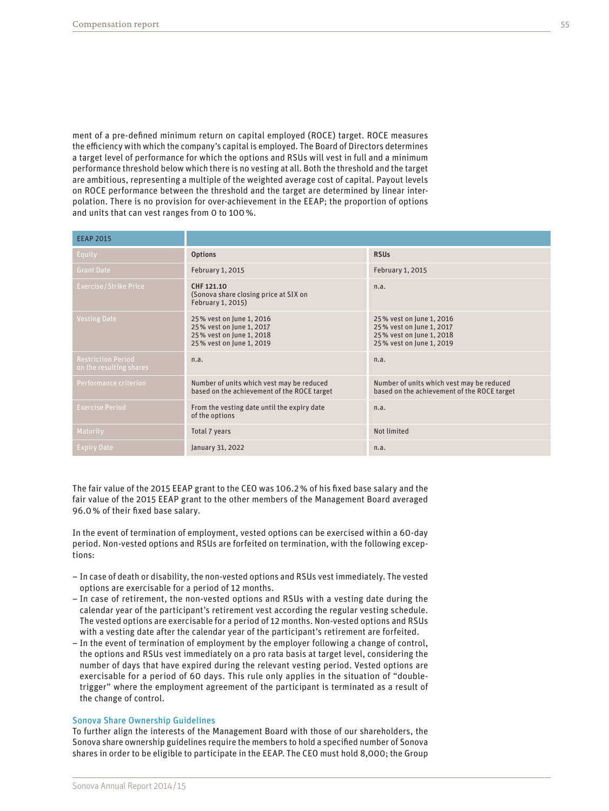ment of a pre-defined minimum return on capital employed (ROCE) target. ROCE measures the efficiency with which the company's capital is employed. The Board of Directors determines a target level of performance for which the options and RSUs will vest in full and a minimum performance threshold below which there is no vesting at all. Both the threshold and the target are ambitious, representing a multiple of the weighted average cost of capital. Payout levels on ROCE performance between the threshold and the target are determined by linear interpolation. There is no provision for over-achievement in the EEAP; the proportion of options and units that can vest ranges from 0 to 100%.

| <b>EEAP 2015</b>                                     |                                                                                                              |                                                                                                              |
|------------------------------------------------------|--------------------------------------------------------------------------------------------------------------|--------------------------------------------------------------------------------------------------------------|
| Equity                                               | <b>Options</b>                                                                                               | <b>RSUs</b>                                                                                                  |
| <b>Grant Date</b>                                    | February 1, 2015                                                                                             | February 1, 2015                                                                                             |
| <b>Exercise/Strike Price</b>                         | CHF 121.10<br>(Sonova share closing price at SIX on<br>February 1, 2015)                                     | n.a.                                                                                                         |
| <b>Vesting Date</b>                                  | 25% vest on June 1, 2016<br>25% vest on June 1, 2017<br>25% vest on June 1, 2018<br>25% vest on June 1, 2019 | 25% vest on June 1, 2016<br>25% vest on June 1, 2017<br>25% vest on June 1, 2018<br>25% vest on June 1, 2019 |
| <b>Restriction Period</b><br>on the resulting shares | n.a.                                                                                                         | n.a.                                                                                                         |
| Performance criterion                                | Number of units which vest may be reduced<br>based on the achievement of the ROCE target                     | Number of units which vest may be reduced<br>based on the achievement of the ROCE target                     |
| <b>Exercise Period</b>                               | From the vesting date until the expiry date<br>of the options                                                | n.a.                                                                                                         |
| Maturity                                             | Total 7 years                                                                                                | Not limited                                                                                                  |
| <b>Expiry Date</b>                                   | January 31, 2022                                                                                             | n.a.                                                                                                         |

The fair value of the 2015 EEAP grant to the CEO was 106.2% of his fixed base salary and the fair value of the 2015 EEAP grant to the other members of the Management Board averaged 96.0% of their fixed base salary.

In the event of termination of employment, vested options can be exercised within a 60-day period. Non-vested options and RSUs are forfeited on termination, with the following exceptions:

- In case of death or disability, the non-vested options and RSUs vest immediately. The vested options are exercisable for a period of 12 months.
- In case of retirement, the non-vested options and RSUs with a vesting date during the calendar year of the participant's retirement vest according the regular vesting schedule. The vested options are exercisable for a period of 12 months. Non-vested options and RSUs with a vesting date after the calendar year of the participant's retirement are forfeited.
- In the event of termination of employment by the employer following a change of control, the options and RSUs vest immediately on a pro rata basis at target level, considering the number of days that have expired during the relevant vesting period. Vested options are exercisable for a period of 60 days. This rule only applies in the situation of "doubletrigger" where the employment agreement of the participant is terminated as a result of the change of control.

#### Sonova Share Ownership Guidelines

To further align the interests of the Management Board with those of our shareholders, the Sonova share ownership guidelines require the members to hold a specified number of Sonova shares in order to be eligible to participate in the EEAP. The CEO must hold 8,000; the Group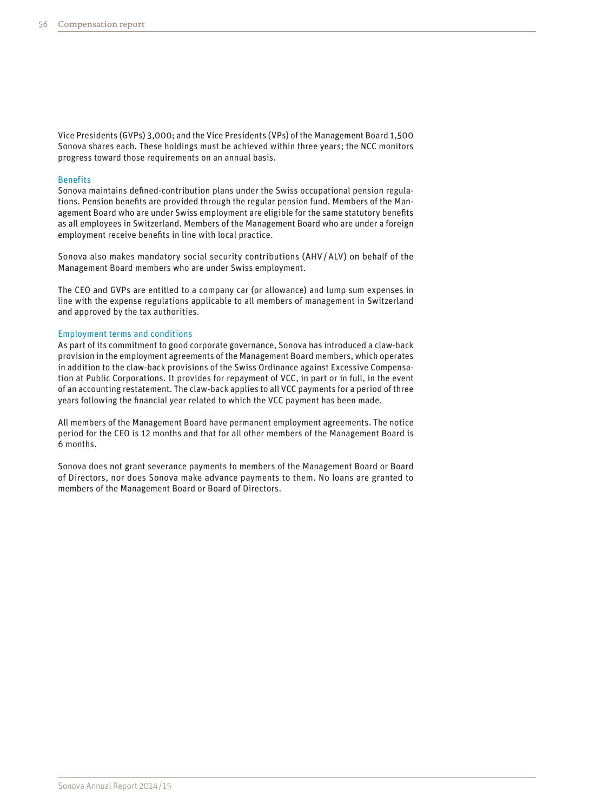Vice Presidents (GVPs) 3,000; and the Vice Presidents (VPs) of the Management Board 1,500 Sonova shares each. These holdings must be achieved within three years; the NCC monitors progress toward those requirements on an annual basis.

### **Benefits**

Sonova maintains defined-contribution plans under the Swiss occupational pension regulations. Pension benefits are provided through the regular pension fund. Members of the Management Board who are under Swiss employment are eligible for the same statutory benefits as all employees in Switzerland. Members of the Management Board who are under a foreign employment receive benefits in line with local practice.

Sonova also makes mandatory social security contributions (AHV/ALV) on behalf of the Management Board members who are under Swiss employment.

The CEO and GVPs are entitled to a company car (or allowance) and lump sum expenses in line with the expense regulations applicable to all members of management in Switzerland and approved by the tax authorities.

#### Employment terms and conditions

As part of its commitment to good corporate governance, Sonova has introduced a claw-back provision in the employment agreements of the Management Board members, which operates in addition to the claw-back provisions of the Swiss Ordinance against Excessive Compensation at Public Corporations. It provides for repayment of VCC, in part or in full, in the event of an accounting restatement. The claw-back applies to all VCC payments for a period of three years following the financial year related to which the VCC payment has been made.

All members of the Management Board have permanent employment agreements. The notice period for the CEO is 12 months and that for all other members of the Management Board is 6 months.

Sonova does not grant severance payments to members of the Management Board or Board of Directors, nor does Sonova make advance payments to them. No loans are granted to members of the Management Board or Board of Directors.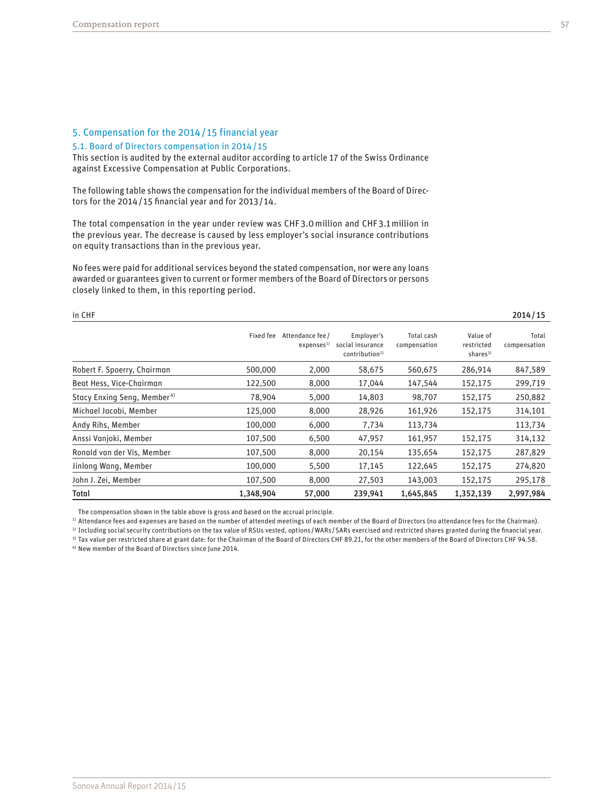# 5. Compensation for the 2014/ 15 financial year

#### 5.1. Board of Directors compensation in 2014/ 15

This section is audited by the external auditor according to article 17 of the Swiss Ordinance against Excessive Compensation at Public Corporations.

The following table shows the compensation for the individual members of the Board of Directors for the 2014/ 15 financial year and for 2013/ 14.

The total compensation in the year under review was CHF3.0million and CHF3.1million in the previous year. The decrease is caused by less employer's social insurance contributions on equity transactions than in the previous year.

No fees were paid for additional services beyond the stated compensation, nor were any loans awarded or guarantees given to current or former members of the Board of Directors or persons closely linked to them, in this reporting period.

in CHF 2014/15

|                                         | Fixed fee | Attendance fee /<br>expenses <sup>1</sup> | Employer's<br>social insurance<br>contribution <sup>2</sup> | Total cash<br>compensation | Value of<br>restricted<br>shares <sup>3)</sup> | Total<br>compensation |
|-----------------------------------------|-----------|-------------------------------------------|-------------------------------------------------------------|----------------------------|------------------------------------------------|-----------------------|
| Robert F. Spoerry, Chairman             | 500,000   | 2,000                                     | 58,675                                                      | 560,675                    | 286,914                                        | 847,589               |
| Beat Hess, Vice-Chairman                | 122,500   | 8,000                                     | 17.044                                                      | 147,544                    | 152,175                                        | 299,719               |
| Stacy Enxing Seng, Member <sup>4)</sup> | 78.904    | 5.000                                     | 14,803                                                      | 98.707                     | 152,175                                        | 250,882               |
| Michael Jacobi, Member                  | 125,000   | 8,000                                     | 28,926                                                      | 161,926                    | 152,175                                        | 314,101               |
| Andy Rihs, Member                       | 100,000   | 6,000                                     | 7,734                                                       | 113,734                    |                                                | 113,734               |
| Anssi Vanjoki, Member                   | 107,500   | 6,500                                     | 47,957                                                      | 161,957                    | 152,175                                        | 314,132               |
| Ronald van der Vis, Member              | 107,500   | 8.000                                     | 20,154                                                      | 135,654                    | 152,175                                        | 287,829               |
| Jinlong Wang, Member                    | 100,000   | 5,500                                     | 17.145                                                      | 122,645                    | 152,175                                        | 274,820               |
| John J. Zei, Member                     | 107,500   | 8,000                                     | 27,503                                                      | 143,003                    | 152,175                                        | 295,178               |
| Total                                   | 1,348,904 | 57,000                                    | 239,941                                                     | 1,645,845                  | 1,352,139                                      | 2,997,984             |

The compensation shown in the table above is gross and based on the accrual principle.

1) Attendance fees and expenses are based on the number of attended meetings of each member of the Board of Directors (no attendance fees for the Chairman).

<sup>2)</sup> Including social security contributions on the tax value of RSUs vested, options/WARs/SARs exercised and restricted shares granted during the financial year.

3) Tax value per restricted share at grant date: for the Chairman of the Board of Directors CHF 89.21, for the other members of the Board of Directors CHF 94.58.

4) New member of the Board of Directors since June 2014.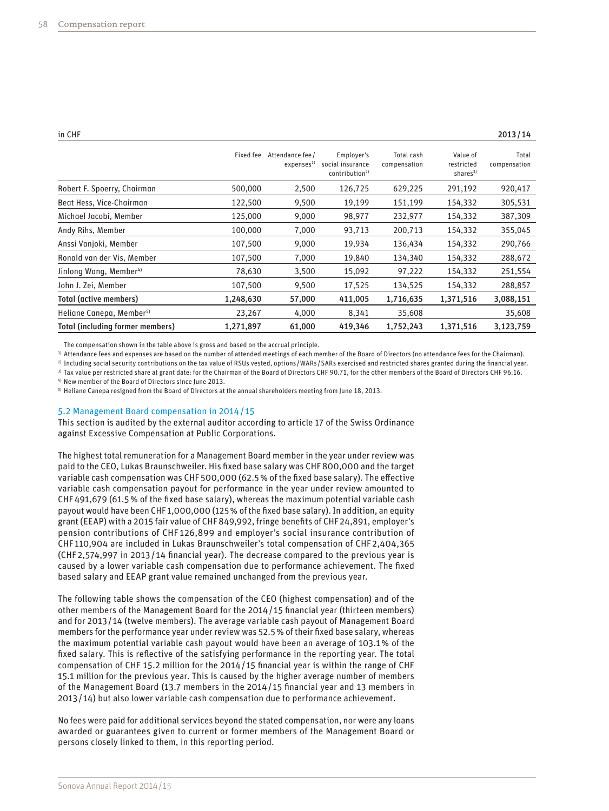| in CHF | 2013/14 |
|--------|---------|
|--------|---------|

|                                      | Fixed fee | Attendance fee /<br>expenses <sup>1)</sup> | Employer's<br>social insurance<br>contribution <sup>2)</sup> | Total cash<br>compensation | Value of<br>restricted<br>shares <sup>3)</sup> | Total<br>compensation |
|--------------------------------------|-----------|--------------------------------------------|--------------------------------------------------------------|----------------------------|------------------------------------------------|-----------------------|
| Robert F. Spoerry, Chairman          | 500,000   | 2,500                                      | 126,725                                                      | 629,225                    | 291,192                                        | 920,417               |
| Beat Hess, Vice-Chairman             | 122,500   | 9,500                                      | 19,199                                                       | 151,199                    | 154,332                                        | 305,531               |
| Michael Jacobi, Member               | 125,000   | 9,000                                      | 98,977                                                       | 232,977                    | 154,332                                        | 387,309               |
| Andy Rihs, Member                    | 100,000   | 7,000                                      | 93,713                                                       | 200,713                    | 154,332                                        | 355,045               |
| Anssi Vanjoki, Member                | 107,500   | 9,000                                      | 19,934                                                       | 136,434                    | 154,332                                        | 290,766               |
| Ronald van der Vis, Member           | 107,500   | 7,000                                      | 19,840                                                       | 134,340                    | 154,332                                        | 288,672               |
| Jinlong Wang, Member <sup>4)</sup>   | 78,630    | 3,500                                      | 15,092                                                       | 97,222                     | 154,332                                        | 251,554               |
| John J. Zei, Member                  | 107,500   | 9,500                                      | 17,525                                                       | 134,525                    | 154,332                                        | 288,857               |
| Total (active members)               | 1,248,630 | 57,000                                     | 411,005                                                      | 1,716,635                  | 1,371,516                                      | 3,088,151             |
| Heliane Canepa, Member <sup>5)</sup> | 23,267    | 4,000                                      | 8,341                                                        | 35,608                     |                                                | 35,608                |
| Total (including former members)     | 1,271,897 | 61,000                                     | 419,346                                                      | 1,752,243                  | 1,371,516                                      | 3,123,759             |

The compensation shown in the table above is gross and based on the accrual principle.

<sup>1)</sup> Attendance fees and expenses are based on the number of attended meetings of each member of the Board of Directors (no attendance fees for the Chairman).

2) Including social security contributions on the tax value of RSUs vested, options/WARs/SARs exercised and restricted shares granted during the financial year.

3) Tax value per restricted share at grant date: for the Chairman of the Board of Directors CHF 90.71, for the other members of the Board of Directors CHF 96.16.

4) New member of the Board of Directors since June 2013.

5) Heliane Canepa resigned from the Board of Directors at the annual shareholders meeting from June 18, 2013.

#### 5.2 Management Board compensation in 2014/ 15

This section is audited by the external auditor according to article 17 of the Swiss Ordinance against Excessive Compensation at Public Corporations.

The highest total remuneration for a Management Board member in the year under review was paid to the CEO, Lukas Braunschweiler. His fixed base salary was CHF800,000 and the target variable cash compensation was CHF500,000 (62.5% of the fixed base salary). The effective variable cash compensation payout for performance in the year under review amounted to CHF491,679 (61.5% of the fixed base salary), whereas the maximum potential variable cash payout would have been CHF1,000,000 (125% of the fixed base salary). In addition, an equity grant (EEAP) with a 2015 fair value of CHF849,992, fringe benefits of CHF24,891, employer's pension contributions of CHF 126,899 and employer's social insurance contribution of CHF110,904 are included in Lukas Braunschweiler's total compensation of CHF 2,404,365 (CHF2,574,997 in 2013/ 14 financial year). The decrease compared to the previous year is caused by a lower variable cash compensation due to performance achievement. The fixed based salary and EEAP grant value remained unchanged from the previous year.

The following table shows the compensation of the CEO (highest compensation) and of the other members of the Management Board for the 2014/ 15 financial year (thirteen members) and for 2013/ 14 (twelve members). The average variable cash payout of Management Board members for the performance year under review was 52.5% of their fixed base salary, whereas the maximum potential variable cash payout would have been an average of 103.1% of the fixed salary. This is reflective of the satisfying performance in the reporting year. The total compensation of CHF 15.2 million for the 2014/ 15 financial year is within the range of CHF 15.1 million for the previous year. This is caused by the higher average number of members of the Management Board (13.7 members in the 2014/ 15 financial year and 13 members in 2013/ 14) but also lower variable cash compensation due to performance achievement.

No fees were paid for additional services beyond the stated compensation, nor were any loans awarded or guarantees given to current or former members of the Management Board or persons closely linked to them, in this reporting period.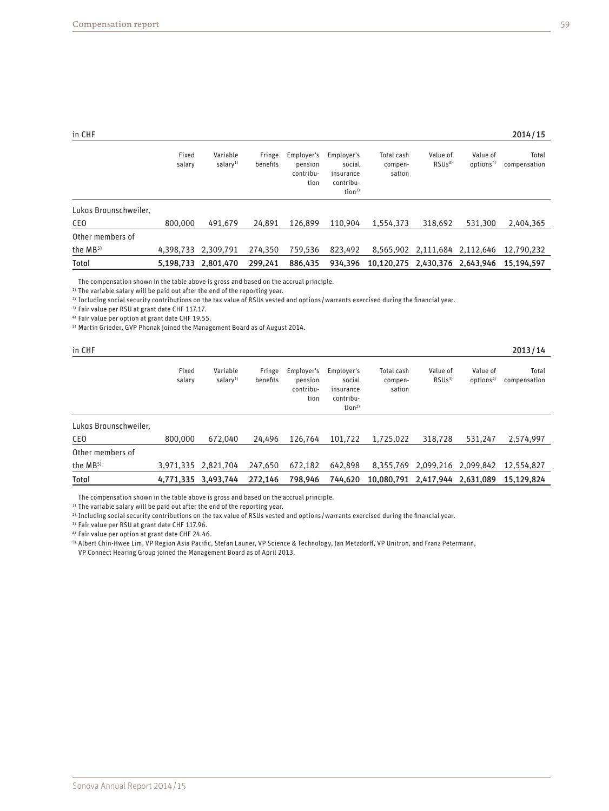| in CHF | 2014/15 |
|--------|---------|
|--------|---------|

|                       | Fixed<br>salary     | Variable<br>salary <sup>1)</sup> | Fringe<br>benefits | Employer's<br>pension<br>contribu-<br>tion | Employer's<br>social<br>insurance<br>contribu-<br>tion <sup>2</sup> | Total cash<br>compen-<br>sation | Value of<br>RSUS <sup>3</sup> | Value of<br>options <sup>4)</sup> | Total<br>compensation |
|-----------------------|---------------------|----------------------------------|--------------------|--------------------------------------------|---------------------------------------------------------------------|---------------------------------|-------------------------------|-----------------------------------|-----------------------|
| Lukas Braunschweiler, |                     |                                  |                    |                                            |                                                                     |                                 |                               |                                   |                       |
| <b>CEO</b>            | 800,000             | 491.679                          | 24.891             | 126,899                                    | 110.904                                                             | 1.554.373                       | 318.692                       | 531,300                           | 2,404,365             |
| Other members of      |                     |                                  |                    |                                            |                                                                     |                                 |                               |                                   |                       |
| the $MB5$             | 4,398,733 2,309,791 |                                  | 274,350            | 759.536                                    | 823.492                                                             | 8.565.902                       | 2,111,684                     | 2,112,646                         | 12,790,232            |
| <b>Total</b>          | 5,198,733           | 2,801,470                        | 299.241            | 886,435                                    | 934.396                                                             | 10,120,275                      | 2,430,376                     | 2.643.946                         | 15.194.597            |

The compensation shown in the table above is gross and based on the accrual principle.

<sup>1)</sup> The variable salary will be paid out after the end of the reporting year.

2) Including social security contributions on the tax value of RSUs vested and options/warrants exercised during the financial year.

3) Fair value per RSU at grant date CHF 117.17.

4) Fair value per option at grant date CHF 19.55.

5) Martin Grieder, GVP Phonak joined the Management Board as of August 2014.

| in CHF                |                 |                                  |                    |                                            |                                                                      |                                 |                               |                                   | 2013/14               |
|-----------------------|-----------------|----------------------------------|--------------------|--------------------------------------------|----------------------------------------------------------------------|---------------------------------|-------------------------------|-----------------------------------|-----------------------|
|                       | Fixed<br>salary | Variable<br>salary <sup>1)</sup> | Fringe<br>benefits | Employer's<br>pension<br>contribu-<br>tion | Employer's<br>social<br>insurance<br>contribu-<br>tion <sup>2)</sup> | Total cash<br>compen-<br>sation | Value of<br>RSUs <sup>3</sup> | Value of<br>options <sup>4)</sup> | Total<br>compensation |
| Lukas Braunschweiler, |                 |                                  |                    |                                            |                                                                      |                                 |                               |                                   |                       |
| CEO                   | 800,000         | 672.040                          | 24.496             | 126.764                                    | 101.722                                                              | 1,725,022                       | 318,728                       | 531.247                           | 2,574,997             |
| Other members of      |                 |                                  |                    |                                            |                                                                      |                                 |                               |                                   |                       |
| the MB <sup>5)</sup>  |                 | 3,971,335 2,821,704              | 247,650            | 672,182                                    | 642,898                                                              |                                 | 8,355,769 2,099,216 2,099,842 |                                   | 12,554,827            |
| Total                 |                 | 4,771,335 3,493,744              | 272.146            | 798,946                                    | 744,620                                                              | 10,080,791                      | 2,417,944                     | 2,631,089                         | 15,129,824            |

The compensation shown in the table above is gross and based on the accrual principle.

 $1)$  The variable salary will be paid out after the end of the reporting year.

2) Including social security contributions on the tax value of RSUs vested and options/warrants exercised during the financial year.

3) Fair value per RSU at grant date CHF 117.96.

4) Fair value per option at grant date CHF 24.46.

5) Albert Chin-Hwee Lim, VP Region Asia Pacific, Stefan Launer, VP Science & Technology, Jan Metzdorff, VP Unitron, and Franz Petermann, VP Connect Hearing Group joined the Management Board as of April 2013.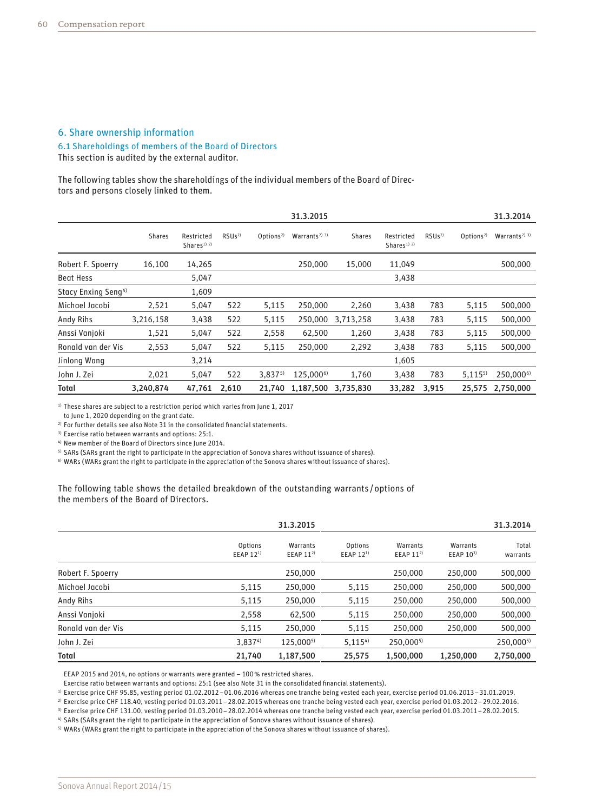### 6. Share ownership information

#### 6.1 Shareholdings of members of the Board of Directors

This section is audited by the external auditor.

The following tables show the shareholdings of the individual members of the Board of Directors and persons closely linked to them.

|                                 |               |                                                  |                   |                       | 31.3.2015                  |               |                                                  |                   |                       | 31.3.2014                  |
|---------------------------------|---------------|--------------------------------------------------|-------------------|-----------------------|----------------------------|---------------|--------------------------------------------------|-------------------|-----------------------|----------------------------|
|                                 | <b>Shares</b> | Restricted<br>Shares <sup>1)</sup> <sup>2)</sup> | RSUs <sup>2</sup> | Options <sup>2)</sup> | Warrants <sup>2)</sup> $3$ | <b>Shares</b> | Restricted<br>Shares <sup>1)</sup> <sup>2)</sup> | RSUs <sup>2</sup> | Options <sup>2)</sup> | Warrants <sup>2)</sup> $3$ |
| Robert F. Spoerry               | 16,100        | 14,265                                           |                   |                       | 250,000                    | 15,000        | 11,049                                           |                   |                       | 500,000                    |
| <b>Beat Hess</b>                |               | 5,047                                            |                   |                       |                            |               | 3,438                                            |                   |                       |                            |
| Stacy Enxing Seng <sup>4)</sup> |               | 1,609                                            |                   |                       |                            |               |                                                  |                   |                       |                            |
| Michael Jacobi                  | 2,521         | 5,047                                            | 522               | 5,115                 | 250,000                    | 2,260         | 3,438                                            | 783               | 5,115                 | 500,000                    |
| Andy Rihs                       | 3,216,158     | 3,438                                            | 522               | 5,115                 | 250,000                    | 3,713,258     | 3,438                                            | 783               | 5,115                 | 500,000                    |
| Anssi Vanjoki                   | 1,521         | 5,047                                            | 522               | 2,558                 | 62,500                     | 1,260         | 3,438                                            | 783               | 5,115                 | 500,000                    |
| Ronald van der Vis              | 2,553         | 5,047                                            | 522               | 5,115                 | 250,000                    | 2,292         | 3,438                                            | 783               | 5,115                 | 500,000                    |
| Jinlong Wang                    |               | 3,214                                            |                   |                       |                            |               | 1,605                                            |                   |                       |                            |
| John J. Zei                     | 2,021         | 5,047                                            | 522               | $3,837^{5}$           | 125,000 <sup>6)</sup>      | 1,760         | 3,438                                            | 783               | $5,115^{5}$           | 250,000 <sup>6)</sup>      |
| Total                           | 3,240,874     | 47,761                                           | 2,610             | 21,740                | 1,187,500                  | 3,735,830     | 33,282                                           | 3,915             | 25,575                | 2,750,000                  |

 $1)$  These shares are subject to a restriction period which varies from June 1, 2017

to June 1, 2020 depending on the grant date.

<sup>2)</sup> For further details see also Note 31 in the consolidated financial statements.

3) Exercise ratio between warrants and options: 25:1.

4) New member of the Board of Directors since June 2014.

5) SARs (SARs grant the right to participate in the appreciation of Sonova shares without issuance of shares).

6) WARs (WARs grant the right to participate in the appreciation of the Sonova shares without issuance of shares).

The following table shows the detailed breakdown of the outstanding warrants /options of the members of the Board of Directors.

|                    |                                  | 31.3.2015                 |                                  |                       |                           | 31.3.2014         |
|--------------------|----------------------------------|---------------------------|----------------------------------|-----------------------|---------------------------|-------------------|
|                    | Options<br>EEAP 12 <sup>1)</sup> | Warrants<br>EEAP $11^{2}$ | Options<br>EEAP 12 <sup>1)</sup> | Warrants<br>EEAP 112) | Warrants<br>EEAP $10^{3}$ | Total<br>warrants |
| Robert F. Spoerry  |                                  | 250,000                   |                                  | 250,000               | 250,000                   | 500,000           |
| Michael Jacobi     | 5,115                            | 250,000                   | 5,115                            | 250,000               | 250,000                   | 500,000           |
| Andy Rihs          | 5,115                            | 250,000                   | 5,115                            | 250,000               | 250,000                   | 500,000           |
| Anssi Vanjoki      | 2,558                            | 62,500                    | 5,115                            | 250,000               | 250,000                   | 500,000           |
| Ronald van der Vis | 5,115                            | 250,000                   | 5,115                            | 250,000               | 250,000                   | 500,000           |
| John J. Zei        | 3,8374)                          | 125,0005)                 | $5,115^{4}$                      | 250,0005)             |                           | 250,0005)         |
| <b>Total</b>       | 21,740                           | 1,187,500                 | 25,575                           | 1.500.000             | 1,250,000                 | 2,750,000         |

EEAP 2015 and 2014, no options or warrants were granted – 100% restricted shares.

Exercise ratio between warrants and options: 25:1 (see also Note 31 in the consolidated financial statements).

1) Exercise price CHF 95.85, vesting period 01.02.2012–01.06.2016 whereas one tranche being vested each year, exercise period 01.06.2013–31.01.2019.

2) Exercise price CHF 118.40, vesting period 01.03.2011–28.02.2015 whereas one tranche being vested each year, exercise period 01.03.2012–29.02.2016.

3) Exercise price CHF 131.00, vesting period 01.03.2010–28.02.2014 whereas one tranche being vested each year, exercise period 01.03.2011–28.02.2015.

4) SARs (SARs grant the right to participate in the appreciation of Sonova shares without issuance of shares).

5) WARs (WARs grant the right to participate in the appreciation of the Sonova shares without issuance of shares).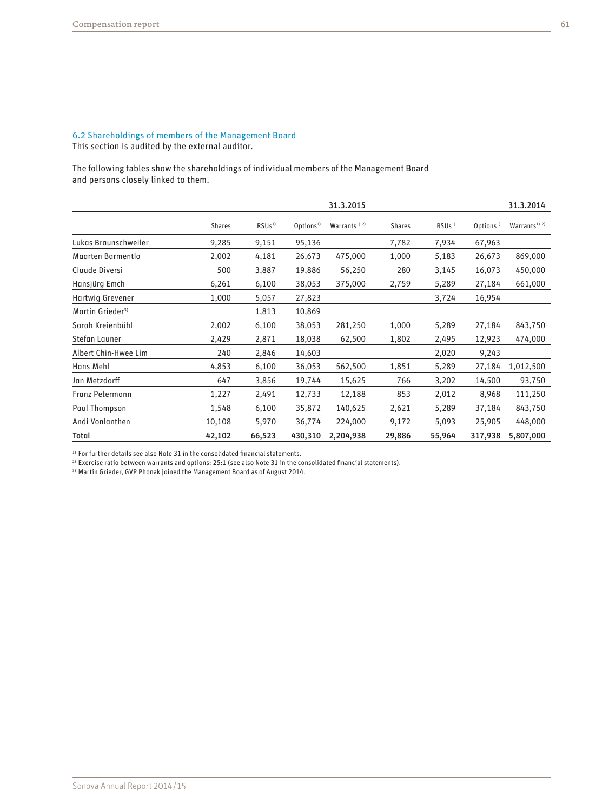# 6.2 Shareholdings of members of the Management Board This section is audited by the external auditor.

The following tables show the shareholdings of individual members of the Management Board and persons closely linked to them.

|                              |               |                   |                      | 31.3.2015                            |               |                   |                      | 31.3.2014                            |
|------------------------------|---------------|-------------------|----------------------|--------------------------------------|---------------|-------------------|----------------------|--------------------------------------|
|                              | <b>Shares</b> | RSUs <sup>1</sup> | Options <sup>1</sup> | Warrants <sup>1)</sup> <sup>2)</sup> | <b>Shares</b> | RSUs <sup>1</sup> | Options <sup>1</sup> | Warrants <sup>1)</sup> <sup>2)</sup> |
| Lukas Braunschweiler         | 9,285         | 9,151             | 95,136               |                                      | 7,782         | 7,934             | 67,963               |                                      |
| Maarten Barmentlo            | 2,002         | 4,181             | 26,673               | 475,000                              | 1,000         | 5,183             | 26,673               | 869,000                              |
| Claude Diversi               | 500           | 3,887             | 19,886               | 56,250                               | 280           | 3,145             | 16,073               | 450,000                              |
| Hansjürg Emch                | 6,261         | 6,100             | 38,053               | 375,000                              | 2,759         | 5,289             | 27,184               | 661,000                              |
| Hartwig Grevener             | 1,000         | 5,057             | 27,823               |                                      |               | 3,724             | 16,954               |                                      |
| Martin Grieder <sup>3)</sup> |               | 1,813             | 10,869               |                                      |               |                   |                      |                                      |
| Sarah Kreienbühl             | 2,002         | 6,100             | 38,053               | 281,250                              | 1,000         | 5,289             | 27,184               | 843,750                              |
| Stefan Launer                | 2,429         | 2,871             | 18,038               | 62,500                               | 1,802         | 2,495             | 12,923               | 474,000                              |
| Albert Chin-Hwee Lim         | 240           | 2,846             | 14,603               |                                      |               | 2,020             | 9,243                |                                      |
| Hans Mehl                    | 4,853         | 6,100             | 36,053               | 562,500                              | 1,851         | 5,289             | 27,184               | 1,012,500                            |
| Jan Metzdorff                | 647           | 3,856             | 19,744               | 15,625                               | 766           | 3,202             | 14,500               | 93,750                               |
| Franz Petermann              | 1,227         | 2,491             | 12,733               | 12,188                               | 853           | 2,012             | 8,968                | 111,250                              |
| Paul Thompson                | 1,548         | 6,100             | 35,872               | 140,625                              | 2,621         | 5,289             | 37,184               | 843,750                              |
| Andi Vonlanthen              | 10,108        | 5,970             | 36,774               | 224,000                              | 9,172         | 5,093             | 25,905               | 448,000                              |
| Total                        | 42,102        | 66,523            | 430,310              | 2,204,938                            | 29,886        | 55,964            | 317,938              | 5,807,000                            |

 $1)$  For further details see also Note 31 in the consolidated financial statements.

 $2)$  Exercise ratio between warrants and options: 25:1 (see also Note 31 in the consolidated financial statements).

3) Martin Grieder, GVP Phonak joined the Management Board as of August 2014.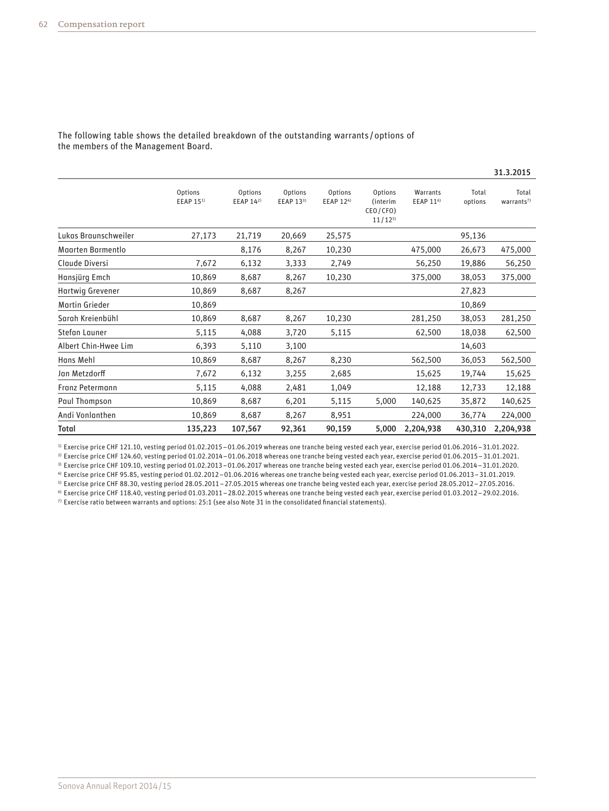|                      |                                  |                          |                      |                             |                                                |                                   |                  | 31.3.2015                     |
|----------------------|----------------------------------|--------------------------|----------------------|-----------------------------|------------------------------------------------|-----------------------------------|------------------|-------------------------------|
|                      | Options<br>EEAP 15 <sup>1)</sup> | Options<br>EEAP $14^{2}$ | Options<br>EEAP 133) | Options<br><b>EEAP 124)</b> | Options<br>(interim<br>CEO/CFO)<br>$11/12^{5}$ | Warrants<br>EEAP 11 <sup>6)</sup> | Total<br>options | Total<br>warants <sup>7</sup> |
| Lukas Braunschweiler | 27,173                           | 21,719                   | 20,669               | 25,575                      |                                                |                                   | 95,136           |                               |
| Maarten Barmentlo    |                                  | 8,176                    | 8,267                | 10,230                      |                                                | 475,000                           | 26,673           | 475,000                       |
| Claude Diversi       | 7,672                            | 6,132                    | 3,333                | 2,749                       |                                                | 56,250                            | 19,886           | 56,250                        |
| Hansjürg Emch        | 10,869                           | 8,687                    | 8,267                | 10,230                      |                                                | 375,000                           | 38,053           | 375,000                       |
| Hartwig Grevener     | 10,869                           | 8,687                    | 8,267                |                             |                                                |                                   | 27,823           |                               |
| Martin Grieder       | 10,869                           |                          |                      |                             |                                                |                                   | 10,869           |                               |
| Sarah Kreienbühl     | 10,869                           | 8,687                    | 8,267                | 10,230                      |                                                | 281,250                           | 38,053           | 281,250                       |
| Stefan Launer        | 5,115                            | 4,088                    | 3,720                | 5,115                       |                                                | 62,500                            | 18,038           | 62,500                        |
| Albert Chin-Hwee Lim | 6,393                            | 5,110                    | 3,100                |                             |                                                |                                   | 14,603           |                               |
| Hans Mehl            | 10,869                           | 8,687                    | 8,267                | 8,230                       |                                                | 562,500                           | 36,053           | 562,500                       |
| Jan Metzdorff        | 7,672                            | 6,132                    | 3,255                | 2,685                       |                                                | 15,625                            | 19,744           | 15,625                        |
| Franz Petermann      | 5,115                            | 4,088                    | 2,481                | 1,049                       |                                                | 12,188                            | 12,733           | 12,188                        |
| Paul Thompson        | 10,869                           | 8,687                    | 6,201                | 5,115                       | 5,000                                          | 140,625                           | 35,872           | 140,625                       |
| Andi Vonlanthen      | 10,869                           | 8,687                    | 8,267                | 8,951                       |                                                | 224,000                           | 36,774           | 224,000                       |
| Total                | 135,223                          | 107,567                  | 92,361               | 90,159                      | 5,000                                          | 2,204,938                         | 430,310          | 2,204,938                     |

The following table shows the detailed breakdown of the outstanding warrants /options of the members of the Management Board.

1) Exercise price CHF 121.10, vesting period 01.02.2015–01.06.2019 whereas one tranche being vested each year, exercise period 01.06.2016–31.01.2022.

2) Exercise price CHF 124.60, vesting period 01.02.2014–01.06.2018 whereas one tranche being vested each year, exercise period 01.06.2015–31.01.2021.

3) Exercise price CHF 109.10, vesting period 01.02.2013–01.06.2017 whereas one tranche being vested each year, exercise period 01.06.2014–31.01.2020.

4) Exercise price CHF 95.85, vesting period 01.02.2012–01.06.2016 whereas one tranche being vested each year, exercise period 01.06.2013–31.01.2019. 5) Exercise price CHF 88.30, vesting period 28.05.2011–27.05.2015 whereas one tranche being vested each year, exercise period 28.05.2012–27.05.2016.

6) Exercise price CHF 118.40, vesting period 01.03.2011–28.02.2015 whereas one tranche being vested each year, exercise period 01.03.2012–29.02.2016.  $7$ ) Exercise ratio between warrants and options: 25:1 (see also Note 31 in the consolidated financial statements).

Sonova Annual Report 2014/15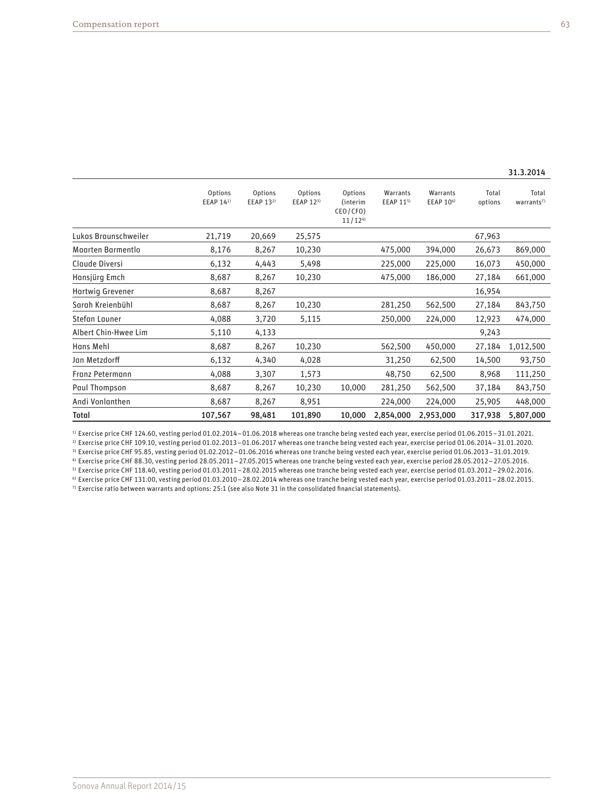|                      | Options<br>EEAP 141) | Options<br>EEAP 13 <sup>2)</sup> | Options<br>EEAP 123) | Options<br>(interim<br>CEO/CFO)<br>11/12 <sup>4</sup> | Warrants<br>EEAP 115) | Warrants<br>EEAP 10 <sup>6)</sup> | Total<br>options | Total<br>warrants <sup>7)</sup> |
|----------------------|----------------------|----------------------------------|----------------------|-------------------------------------------------------|-----------------------|-----------------------------------|------------------|---------------------------------|
| Lukas Braunschweiler | 21,719               | 20,669                           | 25,575               |                                                       |                       |                                   | 67,963           |                                 |
| Maarten Barmentlo    | 8,176                | 8,267                            | 10,230               |                                                       | 475,000               | 394,000                           | 26,673           | 869,000                         |
| Claude Diversi       | 6,132                | 4,443                            | 5,498                |                                                       | 225,000               | 225,000                           | 16,073           | 450,000                         |
| Hansjürg Emch        | 8,687                | 8,267                            | 10,230               |                                                       | 475,000               | 186,000                           | 27,184           | 661,000                         |
| Hartwig Grevener     | 8,687                | 8,267                            |                      |                                                       |                       |                                   | 16,954           |                                 |
| Sarah Kreienbühl     | 8,687                | 8,267                            | 10,230               |                                                       | 281,250               | 562,500                           | 27,184           | 843,750                         |
| Stefan Launer        | 4,088                | 3,720                            | 5,115                |                                                       | 250,000               | 224,000                           | 12,923           | 474,000                         |
| Albert Chin-Hwee Lim | 5,110                | 4,133                            |                      |                                                       |                       |                                   | 9,243            |                                 |
| Hans Mehl            | 8,687                | 8,267                            | 10,230               |                                                       | 562,500               | 450,000                           | 27,184           | 1,012,500                       |
| Jan Metzdorff        | 6,132                | 4,340                            | 4,028                |                                                       | 31,250                | 62,500                            | 14,500           | 93,750                          |
| Franz Petermann      | 4,088                | 3,307                            | 1,573                |                                                       | 48,750                | 62,500                            | 8,968            | 111,250                         |
| Paul Thompson        | 8,687                | 8,267                            | 10,230               | 10,000                                                | 281,250               | 562,500                           | 37,184           | 843,750                         |
| Andi Vonlanthen      | 8,687                | 8,267                            | 8,951                |                                                       | 224,000               | 224,000                           | 25,905           | 448,000                         |
| Total                | 107,567              | 98,481                           | 101,890              | 10,000                                                | 2,854,000             | 2,953,000                         | 317,938          | 5,807,000                       |

1) Exercise price CHF 124.60, vesting period 01.02.2014–01.06.2018 whereas one tranche being vested each year, exercise period 01.06.2015–31.01.2021. 2) Exercise price CHF 109.10, vesting period 01.02.2013–01.06.2017 whereas one tranche being vested each year, exercise period 01.06.2014–31.01.2020.

3) Exercise price CHF 95.85, vesting period 01.02.2012–01.06.2016 whereas one tranche being vested each year, exercise period 01.06.2013–31.01.2019.

4) Exercise price CHF 88.30, vesting period 28.05.2011–27.05.2015 whereas one tranche being vested each year, exercise period 28.05.2012–27.05.2016.

5) Exercise price CHF 118.40, vesting period 01.03.2011–28.02.2015 whereas one tranche being vested each year, exercise period 01.03.2012–29.02.2016. 6) Exercise price CHF 131.00, vesting period 01.03.2010–28.02.2014 whereas one tranche being vested each year, exercise period 01.03.2011–28.02.2015.  $7)$  Exercise ratio between warrants and options: 25:1 (see also Note 31 in the consolidated financial statements).